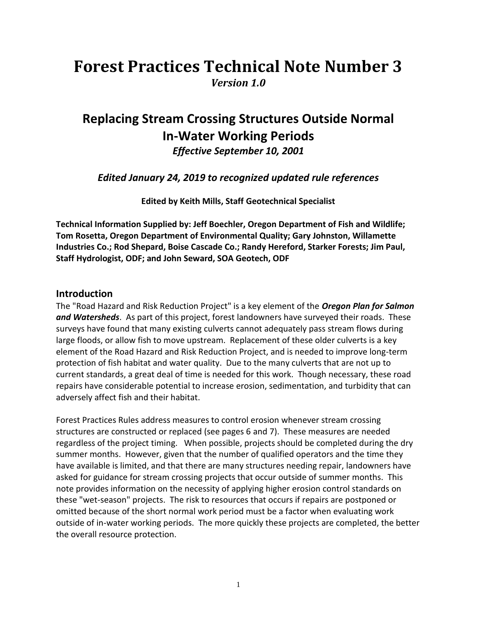# **Forest Practices Technical Note Number 3** *Version 1.0*

# **Replacing Stream Crossing Structures Outside Normal In-Water Working Periods**

*Effective September 10, 2001*

*Edited January 24, 2019 to recognized updated rule references* 

**Edited by Keith Mills, Staff Geotechnical Specialist**

**Technical Information Supplied by: Jeff Boechler, Oregon Department of Fish and Wildlife; Tom Rosetta, Oregon Department of Environmental Quality; Gary Johnston, Willamette Industries Co.; Rod Shepard, Boise Cascade Co.; Randy Hereford, Starker Forests; Jim Paul, Staff Hydrologist, ODF; and John Seward, SOA Geotech, ODF**

# **Introduction**

The "Road Hazard and Risk Reduction Project" is a key element of the *Oregon Plan for Salmon and Watersheds*. As part of this project, forest landowners have surveyed their roads. These surveys have found that many existing culverts cannot adequately pass stream flows during large floods, or allow fish to move upstream. Replacement of these older culverts is a key element of the Road Hazard and Risk Reduction Project, and is needed to improve long-term protection of fish habitat and water quality. Due to the many culverts that are not up to current standards, a great deal of time is needed for this work. Though necessary, these road repairs have considerable potential to increase erosion, sedimentation, and turbidity that can adversely affect fish and their habitat.

Forest Practices Rules address measures to control erosion whenever stream crossing structures are constructed or replaced (see pages 6 and 7). These measures are needed regardless of the project timing. When possible, projects should be completed during the dry summer months. However, given that the number of qualified operators and the time they have available is limited, and that there are many structures needing repair, landowners have asked for guidance for stream crossing projects that occur outside of summer months. This note provides information on the necessity of applying higher erosion control standards on these "wet-season" projects. The risk to resources that occurs if repairs are postponed or omitted because of the short normal work period must be a factor when evaluating work outside of in-water working periods. The more quickly these projects are completed, the better the overall resource protection.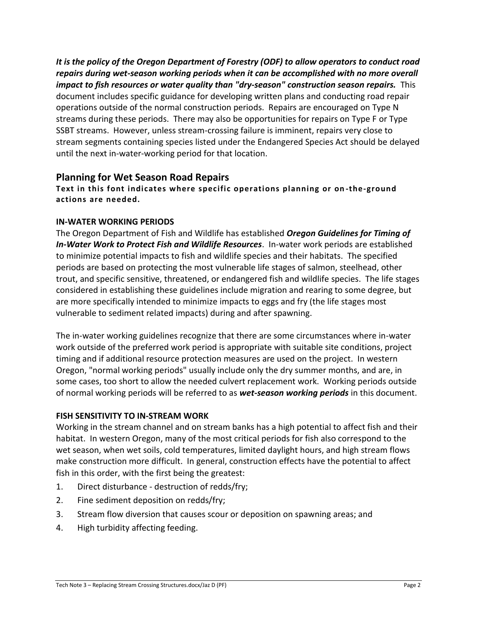*It is the policy of the Oregon Department of Forestry (ODF) to allow operators to conduct road repairs during wet-season working periods when it can be accomplished with no more overall impact to fish resources or water quality than "dry-season" construction season repairs.* This document includes specific guidance for developing written plans and conducting road repair operations outside of the normal construction periods. Repairs are encouraged on Type N streams during these periods. There may also be opportunities for repairs on Type F or Type SSBT streams. However, unless stream-crossing failure is imminent, repairs very close to stream segments containing species listed under the Endangered Species Act should be delayed until the next in-water-working period for that location.

#### **Planning for Wet Season Road Repairs**

**Text in this font indicates where specific operations planning or on -the-ground actions are needed.**

#### **IN-WATER WORKING PERIODS**

The Oregon Department of Fish and Wildlife has established *Oregon Guidelines for Timing of In-Water Work to Protect Fish and Wildlife Resources*. In-water work periods are established to minimize potential impacts to fish and wildlife species and their habitats. The specified periods are based on protecting the most vulnerable life stages of salmon, steelhead, other trout, and specific sensitive, threatened, or endangered fish and wildlife species. The life stages considered in establishing these guidelines include migration and rearing to some degree, but are more specifically intended to minimize impacts to eggs and fry (the life stages most vulnerable to sediment related impacts) during and after spawning.

The in-water working guidelines recognize that there are some circumstances where in-water work outside of the preferred work period is appropriate with suitable site conditions, project timing and if additional resource protection measures are used on the project. In western Oregon, "normal working periods" usually include only the dry summer months, and are, in some cases, too short to allow the needed culvert replacement work. Working periods outside of normal working periods will be referred to as *wet-season working periods* in this document.

#### **FISH SENSITIVITY TO IN-STREAM WORK**

Working in the stream channel and on stream banks has a high potential to affect fish and their habitat. In western Oregon, many of the most critical periods for fish also correspond to the wet season, when wet soils, cold temperatures, limited daylight hours, and high stream flows make construction more difficult. In general, construction effects have the potential to affect fish in this order, with the first being the greatest:

- 1. Direct disturbance destruction of redds/fry;
- 2. Fine sediment deposition on redds/fry;
- 3. Stream flow diversion that causes scour or deposition on spawning areas; and
- 4. High turbidity affecting feeding.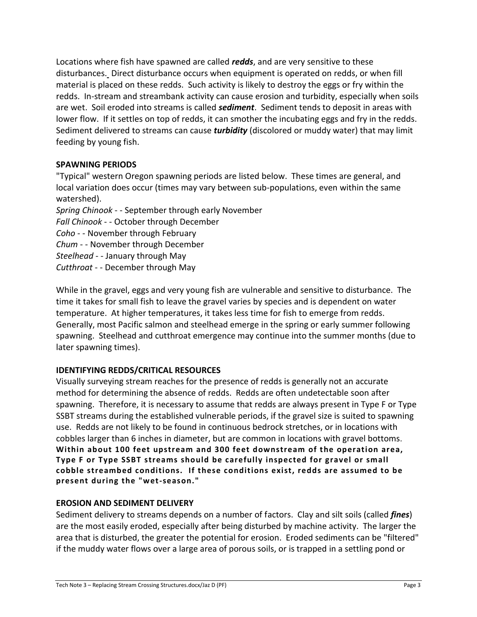Locations where fish have spawned are called *redds*, and are very sensitive to these disturbances. Direct disturbance occurs when equipment is operated on redds, or when fill material is placed on these redds. Such activity is likely to destroy the eggs or fry within the redds. In-stream and streambank activity can cause erosion and turbidity, especially when soils are wet. Soil eroded into streams is called *sediment*. Sediment tends to deposit in areas with lower flow. If it settles on top of redds, it can smother the incubating eggs and fry in the redds. Sediment delivered to streams can cause *turbidity* (discolored or muddy water) that may limit feeding by young fish.

#### **SPAWNING PERIODS**

"Typical" western Oregon spawning periods are listed below. These times are general, and local variation does occur (times may vary between sub-populations, even within the same watershed).

*Spring Chinook* - - September through early November *Fall Chinook* - - October through December *Coho* - - November through February *Chum* - - November through December *Steelhead* - - January through May *Cutthroat* - - December through May

While in the gravel, eggs and very young fish are vulnerable and sensitive to disturbance. The time it takes for small fish to leave the gravel varies by species and is dependent on water temperature. At higher temperatures, it takes less time for fish to emerge from redds. Generally, most Pacific salmon and steelhead emerge in the spring or early summer following spawning. Steelhead and cutthroat emergence may continue into the summer months (due to later spawning times).

#### **IDENTIFYING REDDS/CRITICAL RESOURCES**

Visually surveying stream reaches for the presence of redds is generally not an accurate method for determining the absence of redds. Redds are often undetectable soon after spawning. Therefore, it is necessary to assume that redds are always present in Type F or Type SSBT streams during the established vulnerable periods, if the gravel size is suited to spawning use. Redds are not likely to be found in continuous bedrock stretches, or in locations with cobbles larger than 6 inches in diameter, but are common in locations with gravel bottoms. **Within about 100 feet upstream and 300 feet downstream of the operation area, Type F or Type SSBT streams should be carefully inspected for gravel or small cobble streambed conditions. If these conditions exist, redds are assumed to be present during the "wet-season."**

#### **EROSION AND SEDIMENT DELIVERY**

Sediment delivery to streams depends on a number of factors. Clay and silt soils (called *fines*) are the most easily eroded, especially after being disturbed by machine activity. The larger the area that is disturbed, the greater the potential for erosion. Eroded sediments can be "filtered" if the muddy water flows over a large area of porous soils, or is trapped in a settling pond or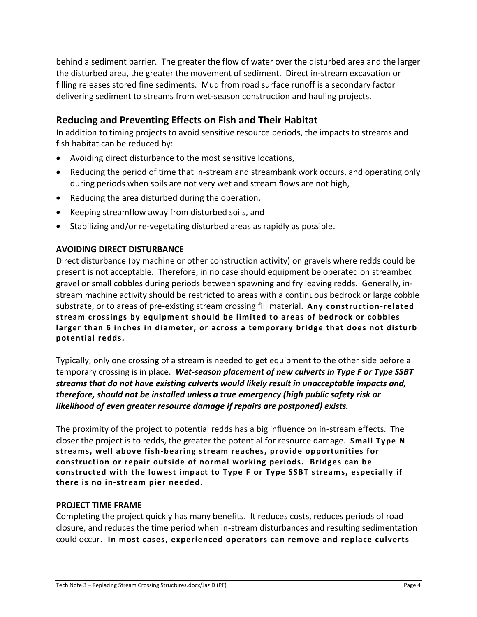behind a sediment barrier. The greater the flow of water over the disturbed area and the larger the disturbed area, the greater the movement of sediment. Direct in-stream excavation or filling releases stored fine sediments. Mud from road surface runoff is a secondary factor delivering sediment to streams from wet-season construction and hauling projects.

# **Reducing and Preventing Effects on Fish and Their Habitat**

In addition to timing projects to avoid sensitive resource periods, the impacts to streams and fish habitat can be reduced by:

- Avoiding direct disturbance to the most sensitive locations,
- Reducing the period of time that in-stream and streambank work occurs, and operating only during periods when soils are not very wet and stream flows are not high,
- Reducing the area disturbed during the operation,
- Keeping streamflow away from disturbed soils, and
- Stabilizing and/or re-vegetating disturbed areas as rapidly as possible.

#### **AVOIDING DIRECT DISTURBANCE**

Direct disturbance (by machine or other construction activity) on gravels where redds could be present is not acceptable. Therefore, in no case should equipment be operated on streambed gravel or small cobbles during periods between spawning and fry leaving redds. Generally, instream machine activity should be restricted to areas with a continuous bedrock or large cobble substrate, or to areas of pre-existing stream crossing fill material. **Any construction-related stream crossings by equipment should be limited to areas of bedrock or cobbles larger than 6 inches in diameter, or across a temporary bridge that does not disturb potential redds.**

Typically, only one crossing of a stream is needed to get equipment to the other side before a temporary crossing is in place. *Wet-season placement of new culverts in Type F or Type SSBT streams that do not have existing culverts would likely result in unacceptable impacts and, therefore, should not be installed unless a true emergency (high public safety risk or likelihood of even greater resource damage if repairs are postponed) exists.*

The proximity of the project to potential redds has a big influence on in-stream effects. The closer the project is to redds, the greater the potential for resource damage. **Small Type N streams, well above fish-bearing stream reaches, provide opportunities for construction or repair outside of normal working periods. Bridges can be constructed with the lowest impact to Type F or Type SSBT streams, especially if there is no in-stream pier needed.**

#### **PROJECT TIME FRAME**

Completing the project quickly has many benefits. It reduces costs, reduces periods of road closure, and reduces the time period when in-stream disturbances and resulting sedimentation could occur. **In most cases, experienced operators can remove and replace culverts**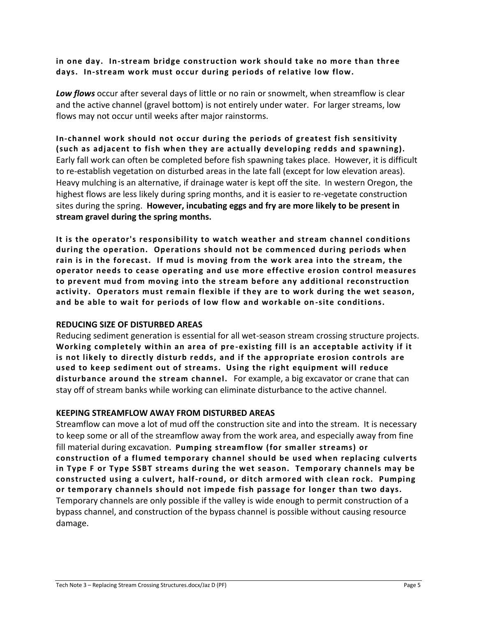**in one day. In-stream bridge construction work should take no more than three days. In-stream work must occur during periods of relative low flow.** 

*Low flows* occur after several days of little or no rain or snowmelt, when streamflow is clear and the active channel (gravel bottom) is not entirely under water. For larger streams, low flows may not occur until weeks after major rainstorms.

**In-channel work should not occur during the periods of greatest fish sensitivity (such as adjacent to fish when they are actually developing redds and spawning).** Early fall work can often be completed before fish spawning takes place. However, it is difficult to re-establish vegetation on disturbed areas in the late fall (except for low elevation areas). Heavy mulching is an alternative, if drainage water is kept off the site. In western Oregon, the highest flows are less likely during spring months, and it is easier to re-vegetate construction sites during the spring. **However, incubating eggs and fry are more likely to be present in stream gravel during the spring months.**

**It is the operator's responsibility to watch weather and stream channel conditions during the operation. Operations should not be commenced during periods when rain is in the forecast. If mud is moving from the work area into the stream, the operator needs to cease operating and use more effective erosion control measures to prevent mud from moving into the stream before any additional reconstruction activity. Operators must remain flexible if they are to work during the wet season, and be able to wait for periods of low flow and workable on -site conditions.**

#### **REDUCING SIZE OF DISTURBED AREAS**

Reducing sediment generation is essential for all wet-season stream crossing structure projects. **Working completely within an area of pre -existing fill is an acceptable activity if it is not likely to directly disturb redds, and if the appropriate erosion controls are used to keep sediment out of streams. Using the right equipment will reduce disturbance around the stream channel.** For example, a big excavator or crane that can stay off of stream banks while working can eliminate disturbance to the active channel.

#### **KEEPING STREAMFLOW AWAY FROM DISTURBED AREAS**

Streamflow can move a lot of mud off the construction site and into the stream. It is necessary to keep some or all of the streamflow away from the work area, and especially away from fine fill material during excavation. **Pumping streamflow (for smaller streams) or construction of a flumed temporary channel should be used when replacing culverts in Type F or Type SSBT streams during the wet season. Temporary channels may be constructed using a culvert, half-round, or ditch armored with clean rock. Pumping or temporary channels should not impede fish passage for longer than two days.**  Temporary channels are only possible if the valley is wide enough to permit construction of a bypass channel, and construction of the bypass channel is possible without causing resource damage.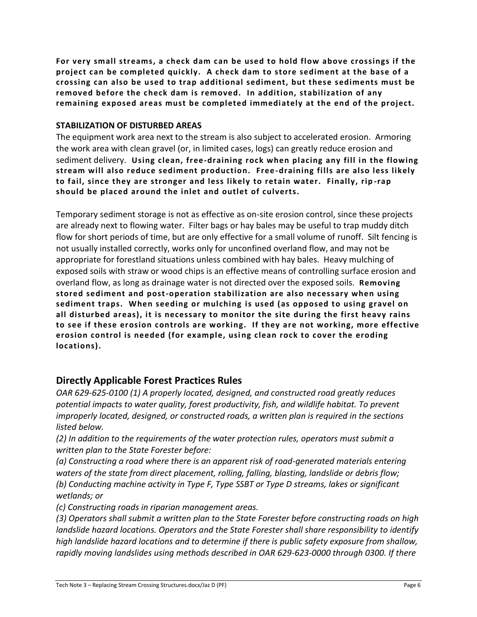**For very small streams, a check dam can be used to hold flow above crossings if the project can be completed quickly. A check dam to store sediment at the base of a crossing can also be used to trap additional sediment, but these sediments must be removed before the check dam is removed. In addition, stabilization of any remaining exposed areas must be completed immediately at the end of the project.**

#### **STABILIZATION OF DISTURBED AREAS**

The equipment work area next to the stream is also subject to accelerated erosion. Armoring the work area with clean gravel (or, in limited cases, logs) can greatly reduce erosion and sediment delivery. **Using clean, free-draining rock when placing any fill in the flowing stream will also reduce sediment production. Free -draining fills are also less likely to fail, since they are stronger and less likely to retain water. Finally, rip -rap should be placed around the inlet and outlet of culverts.** 

Temporary sediment storage is not as effective as on-site erosion control, since these projects are already next to flowing water.Filter bags or hay bales may be useful to trap muddy ditch flow for short periods of time, but are only effective for a small volume of runoff. Silt fencing is not usually installed correctly, works only for unconfined overland flow, and may not be appropriate for forestland situations unless combined with hay bales. Heavy mulching of exposed soils with straw or wood chips is an effective means of controlling surface erosion and overland flow, as long as drainage water is not directed over the exposed soils. **Removing stored sediment and post-operation stabilization are also necessary when using sediment traps. When seeding or mulching is used (as opposed to using gravel on all disturbed areas), it is necessary to monitor the site during the first heavy rains to see if these erosion controls are working. If they are not working, more effective erosion control is needed (for example, usi ng clean rock to cover the eroding locations).**

# **Directly Applicable Forest Practices Rules**

*OAR 629-625-0100 (1) A properly located, designed, and constructed road greatly reduces potential impacts to water quality, forest productivity, fish, and wildlife habitat. To prevent improperly located, designed, or constructed roads, a written plan is required in the sections listed below.* 

*(2) In addition to the requirements of the water protection rules, operators must submit a written plan to the State Forester before:* 

*(a) Constructing a road where there is an apparent risk of road-generated materials entering waters of the state from direct placement, rolling, falling, blasting, landslide or debris flow; (b) Conducting machine activity in Type F, Type SSBT or Type D streams, lakes or significant wetlands; or* 

*(c) Constructing roads in riparian management areas.* 

*(3) Operators shall submit a written plan to the State Forester before constructing roads on high landslide hazard locations. Operators and the State Forester shall share responsibility to identify high landslide hazard locations and to determine if there is public safety exposure from shallow, rapidly moving landslides using methods described in OAR 629-623-0000 through 0300. If there*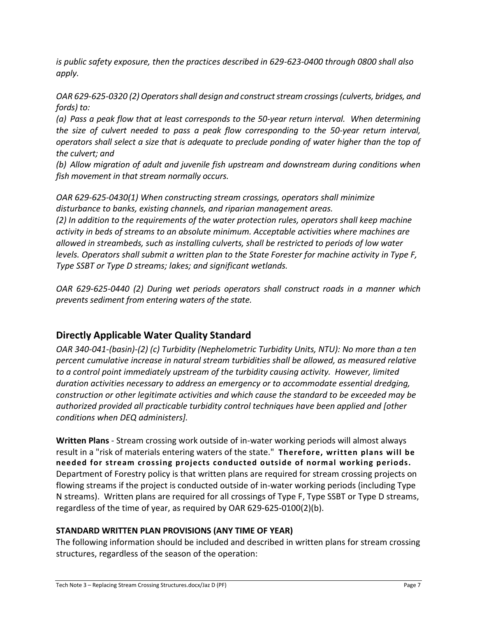*is public safety exposure, then the practices described in 629-623-0400 through 0800 shall also apply.*

*OAR 629-625-0320 (2) Operators shall design and construct stream crossings (culverts, bridges, and fords) to:*

*(a) Pass a peak flow that at least corresponds to the 50-year return interval. When determining the size of culvert needed to pass a peak flow corresponding to the 50-year return interval, operators shall select a size that is adequate to preclude ponding of water higher than the top of the culvert; and*

*(b) Allow migration of adult and juvenile fish upstream and downstream during conditions when fish movement in that stream normally occurs.* 

*OAR 629-625-0430(1) When constructing stream crossings, operators shall minimize disturbance to banks, existing channels, and riparian management areas.* 

*(2) In addition to the requirements of the water protection rules, operators shall keep machine activity in beds of streams to an absolute minimum. Acceptable activities where machines are allowed in streambeds, such as installing culverts, shall be restricted to periods of low water levels. Operators shall submit a written plan to the State Forester for machine activity in Type F, Type SSBT or Type D streams; lakes; and significant wetlands.*

*OAR 629-625-0440 (2) During wet periods operators shall construct roads in a manner which prevents sediment from entering waters of the state.*

# **Directly Applicable Water Quality Standard**

*OAR 340-041-(basin)-(2) (c) Turbidity (Nephelometric Turbidity Units, NTU): No more than a ten percent cumulative increase in natural stream turbidities shall be allowed, as measured relative to a control point immediately upstream of the turbidity causing activity. However, limited duration activities necessary to address an emergency or to accommodate essential dredging, construction or other legitimate activities and which cause the standard to be exceeded may be authorized provided all practicable turbidity control techniques have been applied and [other conditions when DEQ administers].*

**Written Plans** - Stream crossing work outside of in-water working periods will almost always result in a "risk of materials entering waters of the state." **Therefore, written plans will be needed for stream crossing projects conducted outside of normal working periods.** Department of Forestry policy is that written plans are required for stream crossing projects on flowing streams if the project is conducted outside of in-water working periods (including Type N streams). Written plans are required for all crossings of Type F, Type SSBT or Type D streams, regardless of the time of year, as required by OAR 629-625-0100(2)(b).

# **STANDARD WRITTEN PLAN PROVISIONS (ANY TIME OF YEAR)**

The following information should be included and described in written plans for stream crossing structures, regardless of the season of the operation: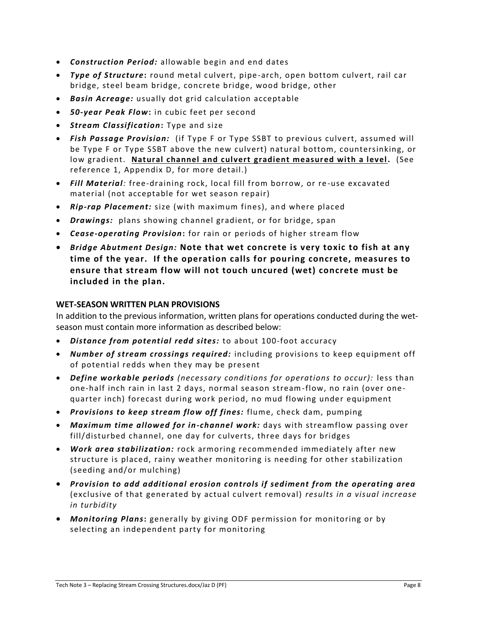- *Construction Period:* allowable begin and end dates
- *Type of Structure***:** round metal culvert, pipe -arch, open bottom culvert, rail car bridge, steel beam bridge, concrete bridge, wood bridge, other
- *Basin Acreage:* usually dot grid calculation acceptable
- *50-year Peak Flow***:** in cubic feet per second
- *Stream Classification***:** Type and size
- *Fish Passage Provision:* (if Type F or Type SSBT to previous culvert, assumed will be Type F or Type SSBT above the new culvert) natural bottom, countersinking, or low gradient. **Natural channel and culvert gradient measured with a level.** (See reference 1, Appendix D, for more detail.)
- Fill Material: free-draining rock, local fill from borrow, or re-use excavated material (not acceptable for wet season repair)
- *Rip-rap Placement:* size (with maximum fines), and where placed
- *Drawings:* plans showing channel gradient, or for bridge, span
- *Cease-operating Provision***:** for rain or periods of higher stream flow
- *Bridge Abutment Design:* **Note that wet concrete is very toxic to fish at any time of the year. If the operation calls for pouring concrete, measures to ensure that stream flow will not touch uncured (wet) concrete must be included in the plan.**

#### **WET-SEASON WRITTEN PLAN PROVISIONS**

In addition to the previous information, written plans for operations conducted during the wetseason must contain more information as described below:

- *Distance from potential redd sites:* to about 100-foot accuracy
- *Number of stream crossings required:* including provisions to keep equipment off of potential redds when they may be present
- *Define workable periods (necessary conditions for operations to occur):* less than one-half inch rain in last 2 days, normal season stream-flow, no rain (over onequarter inch) forecast during work period, no mud flowing under equipment
- *Provisions to keep stream flow off fines:* flume, check dam, pumping
- *Maximum time allowed for in-channel work:* days with streamflow passing over fill/disturbed channel, one day for culverts, three days for bridges
- *Work area stabilization:* rock armoring recommended immediately after new structure is placed, rainy weather monitoring is needing for other stabilization (seeding and/or mulching)
- *Provision to add additional erosion controls if sediment from the operating area* (exclusive of that generated by actual culvert removal) *results in a visual increase in turbidity*
- *Monitoring Plans***:** generally by giving ODF permission for monitoring or by selecting an independent party for monitoring